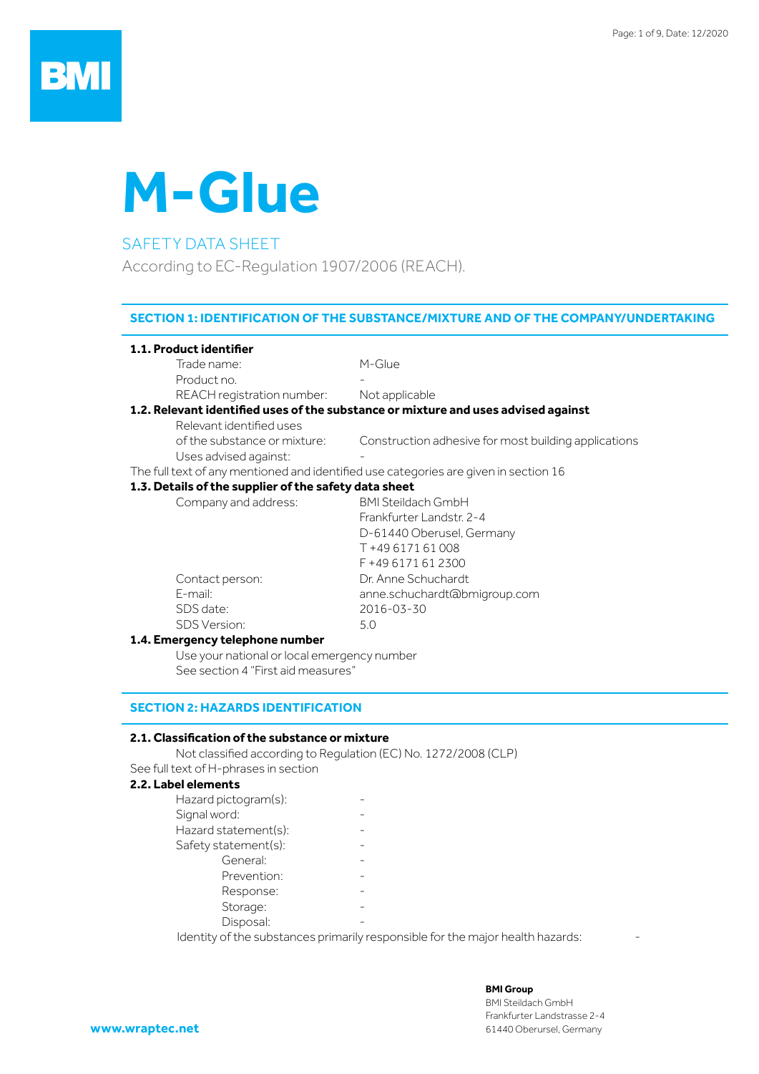# **M-Glue**

#### SAFETY DATA SHEET

According to EC-Regulation 1907/2006 (REACH).

#### **SECTION 1: IDENTIFICATION OF THE SUBSTANCE/MIXTURE AND OF THE COMPANY/UNDERTAKING**

#### **1.1. Product identifier**

Trade name: M-Glue Product no.

REACH registration number: Not applicable

#### **1.2. Relevant identified uses of the substance or mixture and uses advised against**

 Relevant identified uses Uses advised against:

of the substance or mixture: Construction adhesive for most building applications

The full text of any mentioned and identified use categories are given in section 16

#### **1.3. Details of the supplier of the safety data sheet**

| Company and address:           | <b>BMI Steildach GmbH</b>    |
|--------------------------------|------------------------------|
|                                |                              |
|                                | Frankfurter Landstr. 2-4     |
|                                | D-61440 Oberusel, Germany    |
|                                | T +49 6171 61 008            |
|                                | F +49 6171 61 2300           |
| Contact person:                | Dr. Anne Schuchardt          |
| E-mail:                        | anne.schuchardt@bmigroup.com |
| SDS date:                      | 2016-03-30                   |
| <b>SDS Version:</b>            | 5.0                          |
| 1 A Emergency telephone number |                              |

#### **1.4. Emergency telephone number**

Use your national or local emergency number See section 4 "First aid measures"

#### **SECTION 2: HAZARDS IDENTIFICATION**

#### **2.1. Classification of the substance or mixture**

 Not classified according to Regulation (EC) No. 1272/2008 (CLP) See full text of H-phrases in section

#### **2.2. Label elements**

| Hazard pictogram(s): |  |
|----------------------|--|
| Signal word:         |  |
| Hazard statement(s): |  |
| Safety statement(s): |  |
| General:             |  |
| Prevention:          |  |
| Response:            |  |
| Storage:             |  |
| Disposal:            |  |

Identity of the substances primarily responsible for the major health hazards: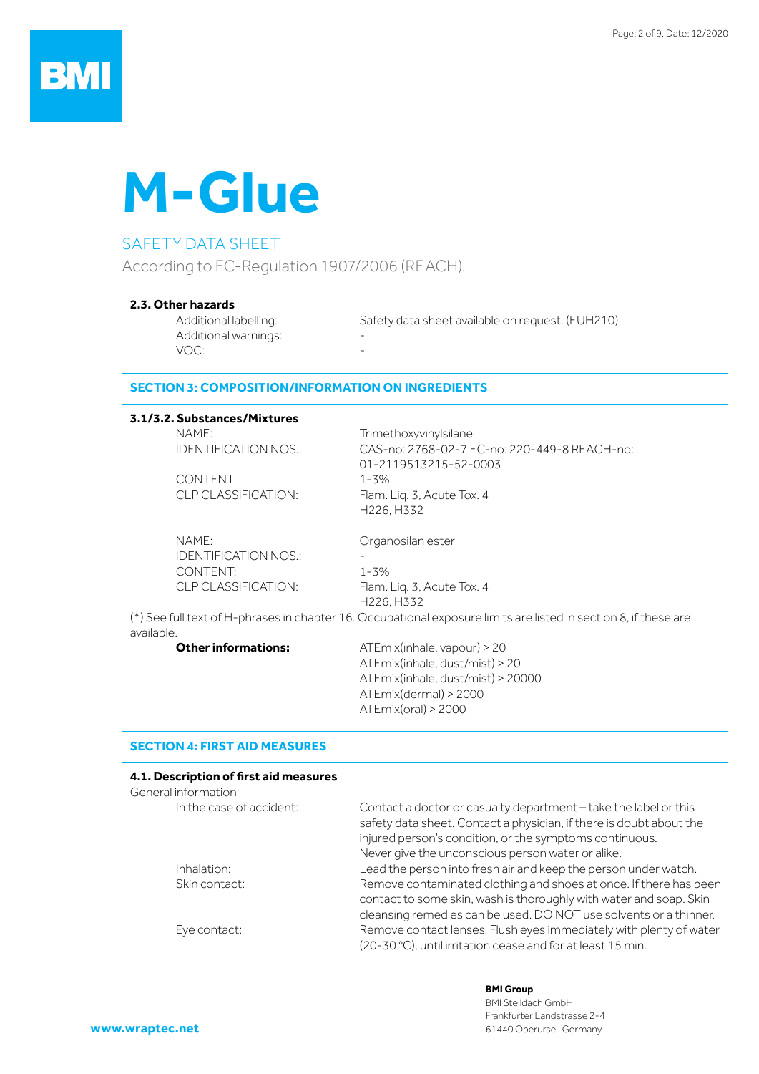

#### SAFETY DATA SHEET

According to EC-Regulation 1907/2006 (REACH).

#### **2.3. Other hazards**

Additional warnings: VOC:

Additional labelling: Safety data sheet available on request. (EUH210)

#### **SECTION 3: COMPOSITION/INFORMATION ON INGREDIENTS**

#### **3.1/3.2. Substances/Mixtures**

NAME: Trimethoxyvinylsilane

CONTENT: 1-3%

NAME: Organosilan ester IDENTIFICATION NOS.: CONTENT: 1-3%

IDENTIFICATION NOS.: CAS-no: 2768-02-7 EC-no: 220-449-8 REACH-no: 01-2119513215-52-0003 CLP CLASSIFICATION: Flam. Liq. 3, Acute Tox. 4 H226, H332

CLP CLASSIFICATION: Flam. Liq. 3, Acute Tox. 4 H226, H332 (\*) See full text of H-phrases in chapter 16. Occupational exposure limits are listed in section 8, if these are

available.

**Other informations:** ATEmix(inhale, vapour) > 20 ATEmix(inhale, dust/mist) > 20 ATEmix(inhale, dust/mist) > 20000 ATEmix(dermal) > 2000 ATEmix(oral) > 2000

#### **SECTION 4: FIRST AID MEASURES**

#### **4.1. Description of first aid measures**

| General information      |                                                                                                                                         |
|--------------------------|-----------------------------------------------------------------------------------------------------------------------------------------|
| In the case of accident: | Contact a doctor or casualty department - take the label or this<br>safety data sheet. Contact a physician, if there is doubt about the |
|                          | injured person's condition, or the symptoms continuous.                                                                                 |
|                          | Never give the unconscious person water or alike.                                                                                       |
| Inhalation:              | Lead the person into fresh air and keep the person under watch.                                                                         |
| Skin contact:            | Remove contaminated clothing and shoes at once. If there has been<br>contact to some skin, wash is thoroughly with water and soap. Skin |
|                          | cleansing remedies can be used. DO NOT use solvents or a thinner.                                                                       |
| Eye contact:             | Remove contact lenses. Flush eyes immediately with plenty of water                                                                      |
|                          | (20-30 °C), until irritation cease and for at least 15 min.                                                                             |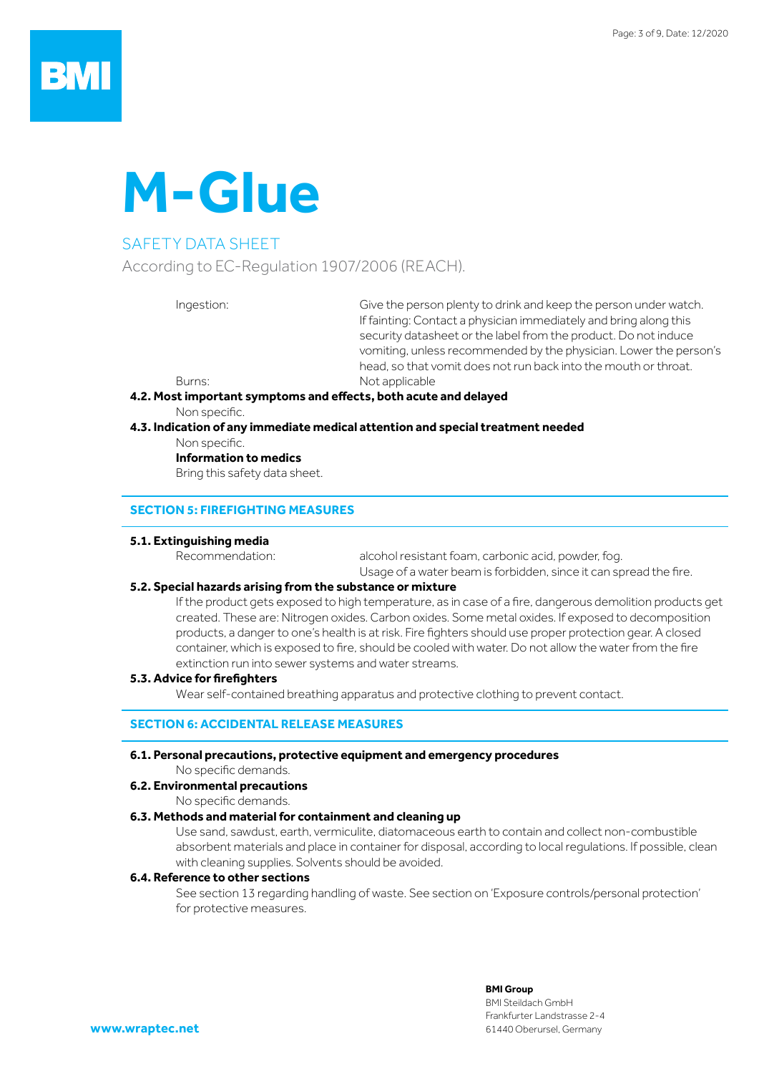# **M-Glue**

### SAFETY DATA SHEET

According to EC-Regulation 1907/2006 (REACH).

Ingestion: Give the person plenty to drink and keep the person under watch. If fainting: Contact a physician immediately and bring along this security datasheet or the label from the product. Do not induce vomiting, unless recommended by the physician. Lower the person's head, so that vomit does not run back into the mouth or throat. Burns: Not applicable

#### **4.2. Most important symptoms and effects, both acute and delayed**

 Non specific.

#### **4.3. Indication of any immediate medical attention and special treatment needed**

 Non specific.

#### **Information to medics**

Bring this safety data sheet.

#### **SECTION 5: FIREFIGHTING MEASURES**

#### **5.1. Extinguishing media**

Recommendation: alcohol resistant foam, carbonic acid, powder, fog. Usage of a water beam is forbidden, since it can spread the fire.

#### **5.2. Special hazards arising from the substance or mixture**

 If the product gets exposed to high temperature, as in case of a fire, dangerous demolition products get created. These are: Nitrogen oxides. Carbon oxides. Some metal oxides. If exposed to decomposition products, a danger to one's health is at risk. Fire fighters should use proper protection gear. A closed container, which is exposed to fire, should be cooled with water. Do not allow the water from the fire extinction run into sewer systems and water streams.

#### **5.3. Advice for firefighters**

Wear self-contained breathing apparatus and protective clothing to prevent contact.

#### **SECTION 6: ACCIDENTAL RELEASE MEASURES**

#### **6.1. Personal precautions, protective equipment and emergency procedures**

 No specific demands.

#### **6.2. Environmental precautions**

 No specific demands.

#### **6.3. Methods and material for containment and cleaning up**

Use sand, sawdust, earth, vermiculite, diatomaceous earth to contain and collect non-combustible absorbent materials and place in container for disposal, according to local regulations. If possible, clean with cleaning supplies. Solvents should be avoided.

#### **6.4. Reference to other sections**

See section 13 regarding handling of waste. See section on 'Exposure controls/personal protection' for protective measures.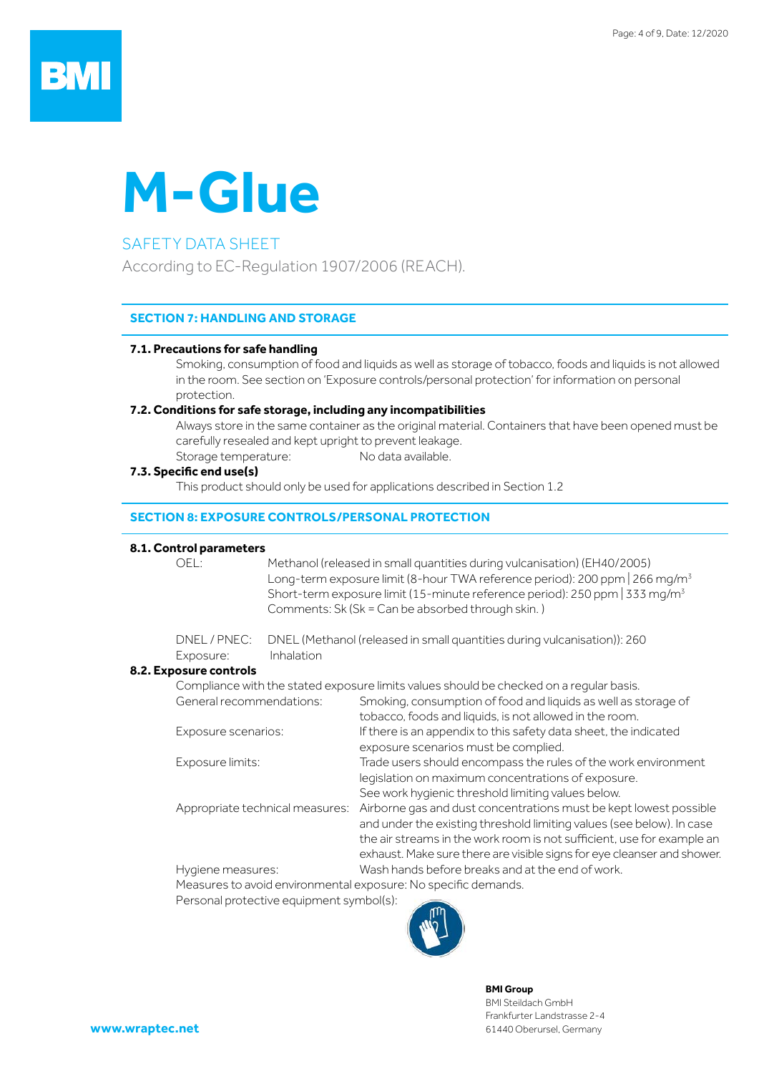## BN

# **M-Glue**

#### SAFETY DATA SHEET

According to EC-Regulation 1907/2006 (REACH).

#### **SECTION 7: HANDLING AND STORAGE**

#### **7.1. Precautions for safe handling**

Smoking, consumption of food and liquids as well as storage of tobacco, foods and liquids is not allowed in the room. See section on 'Exposure controls/personal protection' for information on personal protection.

#### **7.2. Conditions for safe storage, including any incompatibilities**

Always store in the same container as the original material. Containers that have been opened must be carefully resealed and kept upright to prevent leakage.

Storage temperature: No data available.

#### **7.3. Specific end use(s)**

This product should only be used for applications described in Section 1.2

#### **SECTION 8: EXPOSURE CONTROLS/PERSONAL PROTECTION**

#### **8.1. Control parameters**

OEL: Methanol (released in small quantities during vulcanisation) (EH40/2005) Long-term exposure limit (8-hour TWA reference period): 200 ppm | 266 mg/m<sup>3</sup> Short-term exposure limit (15-minute reference period): 250 ppm | 333 mg/m3 Comments: Sk (Sk = Can be absorbed through skin. )

|           | DNEL / PNEC: DNEL (Methanol (released in small quantities during vulcanisation)): 260 |
|-----------|---------------------------------------------------------------------------------------|
| Exposure: | <i>Inhalation</i>                                                                     |

#### **8.2. Exposure controls**

|                                 | Compliance with the stated exposure limits values should be checked on a regular basis.                                                                                       |
|---------------------------------|-------------------------------------------------------------------------------------------------------------------------------------------------------------------------------|
| General recommendations:        | Smoking, consumption of food and liquids as well as storage of                                                                                                                |
|                                 | tobacco, foods and liquids, is not allowed in the room.                                                                                                                       |
| Exposure scenarios:             | If there is an appendix to this safety data sheet, the indicated                                                                                                              |
|                                 | exposure scenarios must be complied.                                                                                                                                          |
| Exposure limits:                | Trade users should encompass the rules of the work environment                                                                                                                |
|                                 | legislation on maximum concentrations of exposure.                                                                                                                            |
|                                 | See work hygienic threshold limiting values below.                                                                                                                            |
| Appropriate technical measures: | Airborne gas and dust concentrations must be kept lowest possible                                                                                                             |
|                                 | and under the existing threshold limiting values (see below). In case                                                                                                         |
|                                 | the air streams in the work room is not sufficient, use for example an                                                                                                        |
|                                 | exhaust. Make sure there are visible signs for eye cleanser and shower.                                                                                                       |
| Hygiene measures:               | Wash hands before breaks and at the end of work.                                                                                                                              |
|                                 | $\mathbf{M}$ , the set of $\mathbf{M}$ , $\mathbf{M}$ , $\mathbf{M}$ , $\mathbf{M}$ , $\mathbf{M}$ , $\mathbf{M}$ , $\mathbf{M}$ , $\mathbf{M}$ , $\mathbf{M}$ , $\mathbf{M}$ |

 Measures to avoid environmental exposure: No specific demands.

Personal protective equipment symbol(s):

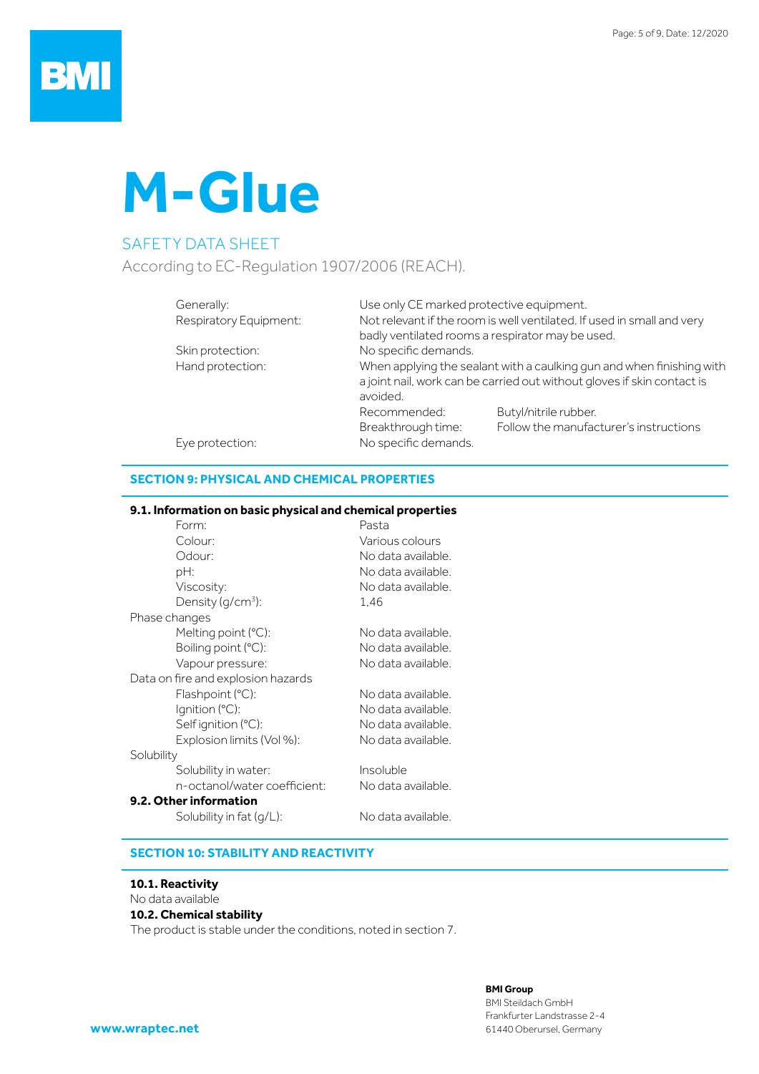

#### SAFETY DATA SHEET

According to EC-Regulation 1907/2006 (REACH).

| Generally:       |                        | Use only CE marked protective equipment.                                            |                                                                        |  |  |
|------------------|------------------------|-------------------------------------------------------------------------------------|------------------------------------------------------------------------|--|--|
|                  | Respiratory Equipment: |                                                                                     | Not relevant if the room is well ventilated. If used in small and very |  |  |
|                  |                        | badly ventilated rooms a respirator may be used.                                    |                                                                        |  |  |
| Skin protection: |                        | No specific demands.                                                                |                                                                        |  |  |
|                  | Hand protection:       | When applying the sealant with a caulking gun and when finishing with               |                                                                        |  |  |
|                  |                        | a joint nail, work can be carried out without gloves if skin contact is<br>avoided. |                                                                        |  |  |
|                  |                        | Recommended:                                                                        | Butyl/nitrile rubber.                                                  |  |  |
|                  |                        | Breakthrough time:                                                                  | Follow the manufacturer's instructions                                 |  |  |
| Eye protection:  |                        | No specific demands.                                                                |                                                                        |  |  |

#### **SECTION 9: PHYSICAL AND CHEMICAL PROPERTIES**

#### **9.1. Information on basic physical and chemical properties**

| Form:                              | Pasta              |
|------------------------------------|--------------------|
| Colour:                            | Various colours    |
| Odour:                             | No data available. |
| pH:                                | No data available. |
| Viscosity:                         | No data available. |
| Density $(g/cm^3)$ :               | 1.46               |
| Phase changes                      |                    |
| Melting point $(C)$ :              | No data available. |
| Boiling point $(°C)$ :             | No data available. |
| Vapour pressure:                   | No data available. |
| Data on fire and explosion hazards |                    |
| Flashpoint (°C):                   | No data available. |
| Ignition $(C)$ :                   | No data available. |
| Selfignition (°C):                 | No data available. |
| Explosion limits (Vol %):          | No data available. |
| Solubility                         |                    |
| Solubility in water:               | Insoluble          |
| n-octanol/water coefficient:       | No data available. |
| 9.2. Other information             |                    |
| Solubility in fat $(g/L)$ :        | No data available. |
|                                    |                    |

#### **SECTION 10: STABILITY AND REACTIVITY**

#### **10.1. Reactivity**

#### No data available **10.2. Chemical stability** The product is stable under the conditions, noted in section 7.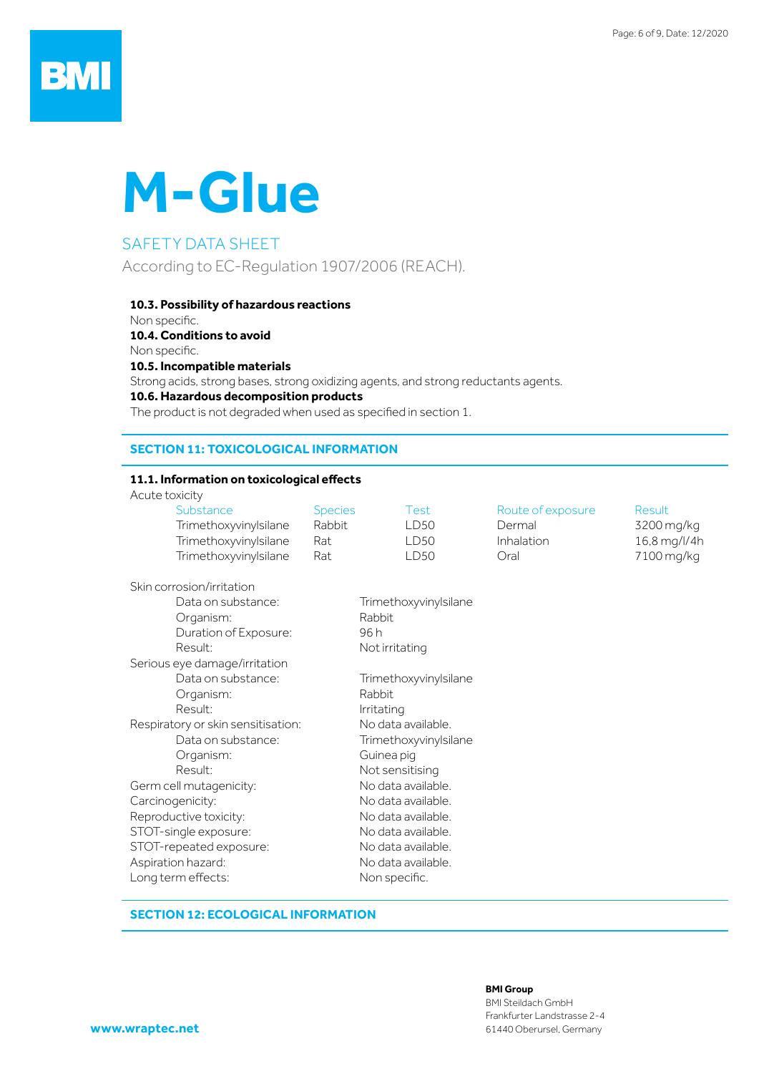## **BMI**

# **M-Glue**

### SAFETY DATA SHEET

According to EC-Regulation 1907/2006 (REACH).

#### **10.3. Possibility of hazardous reactions**

Non specific.

**10.4. Conditions to avoid**

Non specific.

**10.5. Incompatible materials**

Strong acids, strong bases, strong oxidizing agents, and strong reductants agents.

#### **10.6. Hazardous decomposition products**

The product is not degraded when used as specified in section 1. 

#### **SECTION 11: TOXICOLOGICAL INFORMATION**

#### **11.1. Information on toxicological effects**

Acute toxicity

| Substance             | <b>Species</b> | Test | Route of exposure | Result       |
|-----------------------|----------------|------|-------------------|--------------|
| Trimethoxyvinylsilane | Rabbit         | LD50 | Dermal            | 3200 mg/kg   |
| Trimethoxyvinylsilane | Rat            | LD50 | Inhalation        | 16,8 mg/l/4h |
| Trimethoxyvinylsilane | Rat.           | LD50 | Oral              | 7100 mg/kg   |

| Skin corrosion/irritation          |                       |
|------------------------------------|-----------------------|
| Data on substance:                 | Trimethoxyvinylsilane |
| Organism:                          | Rabbit                |
| Duration of Exposure:              | 96 h                  |
| Result:                            | Not irritating        |
| Serious eye damage/irritation      |                       |
| Data on substance:                 | Trimethoxyvinylsilane |
| Organism:                          | Rabbit.               |
| Result:                            | Irritating            |
| Respiratory or skin sensitisation: | No data available.    |
| Data on substance:                 | Trimethoxyvinylsilane |
| Organism:                          | Guinea pig            |
| Result:                            | Not sensitising       |
| Germ cell mutagenicity:            | No data available.    |
| Carcinogenicity:                   | No data available.    |
| Reproductive toxicity:             | No data available.    |
| STOT-single exposure:              | No data available.    |
| STOT-repeated exposure:            | No data available.    |
| Aspiration hazard:                 | No data available.    |
| Long term effects:                 | Non specific.         |
|                                    |                       |

#### **SECTION 12: ECOLOGICAL INFORMATION**

#### **BMI Group**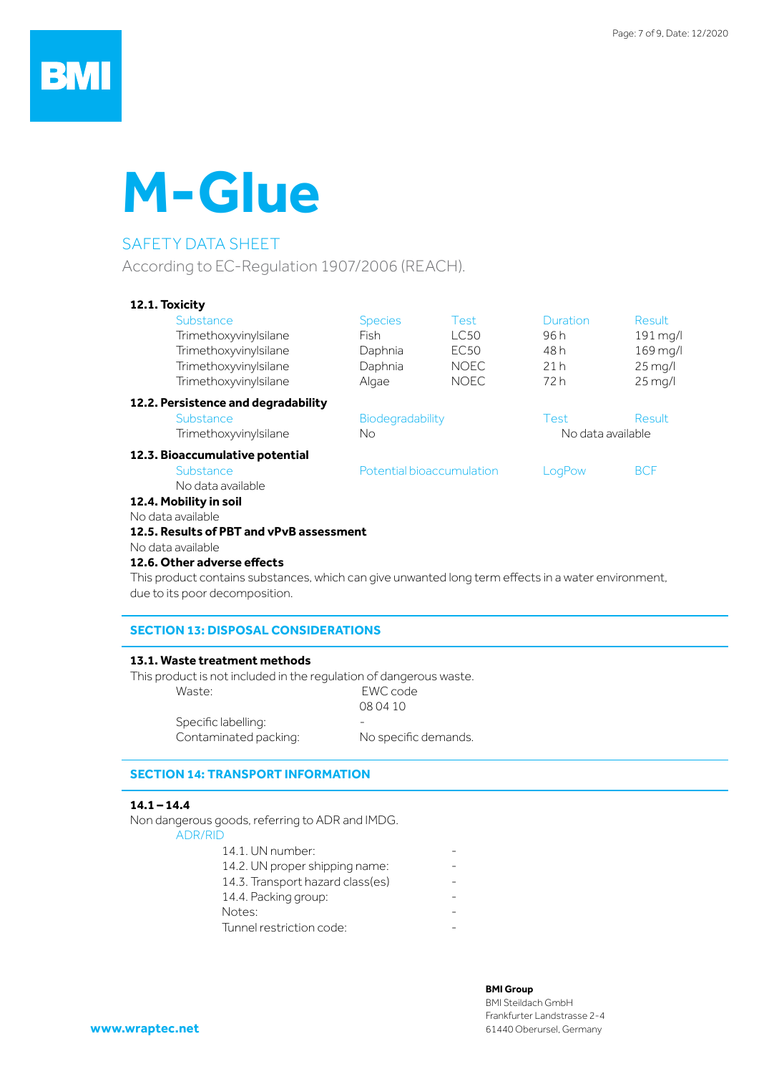# **M-Glue**

### SAFETY DATA SHEET

According to EC-Regulation 1907/2006 (REACH).

#### **12.1. Toxicity**

| Substance<br>Trimethoxyvinylsilane<br>Trimethoxyvinylsilane<br>Trimethoxyvinylsilane<br>Trimethoxyvinylsilane | <b>Species</b><br><b>Fish</b><br>Daphnia<br>Daphnia<br>Algae | <b>Test</b><br><b>LC50</b><br>EC <sub>50</sub><br><b>NOEC</b><br><b>NOEC</b> | Duration<br>96 h<br>48 h<br>21h<br>72 h | <b>Result</b><br>$191$ mg/l<br>$169$ mg/l<br>$25 \,\mathrm{mag/}$<br>$25$ mg/l |
|---------------------------------------------------------------------------------------------------------------|--------------------------------------------------------------|------------------------------------------------------------------------------|-----------------------------------------|--------------------------------------------------------------------------------|
| 12.2. Persistence and degradability                                                                           |                                                              |                                                                              |                                         |                                                                                |
| Substance                                                                                                     | Biodegradability                                             |                                                                              | Test                                    | <b>Result</b>                                                                  |
| Trimethoxyvinylsilane                                                                                         | No.                                                          |                                                                              | No data available                       |                                                                                |
| 12.3. Bioaccumulative potential                                                                               |                                                              |                                                                              |                                         |                                                                                |
| Substance                                                                                                     |                                                              | Potential bioaccumulation                                                    | LogPow                                  | <b>BCF</b>                                                                     |
| No data available                                                                                             |                                                              |                                                                              |                                         |                                                                                |
| 12.4. Mobility in soil                                                                                        |                                                              |                                                                              |                                         |                                                                                |
| No data available                                                                                             |                                                              |                                                                              |                                         |                                                                                |
| 12.5. Results of PBT and vPvB assessment                                                                      |                                                              |                                                                              |                                         |                                                                                |
| No data available                                                                                             |                                                              |                                                                              |                                         |                                                                                |
| 12.6. Other adverse effects                                                                                   |                                                              |                                                                              |                                         |                                                                                |

This product contains substances, which can give unwanted long term effects in a water environment, due to its poor decomposition.

#### **SECTION 13: DISPOSAL CONSIDERATIONS**

#### **13.1. Waste treatment methods**

This product is not included in the regulation of dangerous waste.

| Waste:                | EWC code             |
|-----------------------|----------------------|
|                       | 08 04 10             |
| Specific labelling:   |                      |
| Contaminated packing: | No specific demands. |

**SECTION 14: TRANSPORT INFORMATION**

#### **14.1 – 14.4**

Non dangerous goods, referring to ADR and IMDG. ADR/RID

| AVN/NIV                          |  |
|----------------------------------|--|
| 14.1. UN number:                 |  |
| 14.2. UN proper shipping name:   |  |
| 14.3. Transport hazard class(es) |  |
| 14.4. Packing group:             |  |
| Notes:                           |  |
| Tunnel restriction code:         |  |
|                                  |  |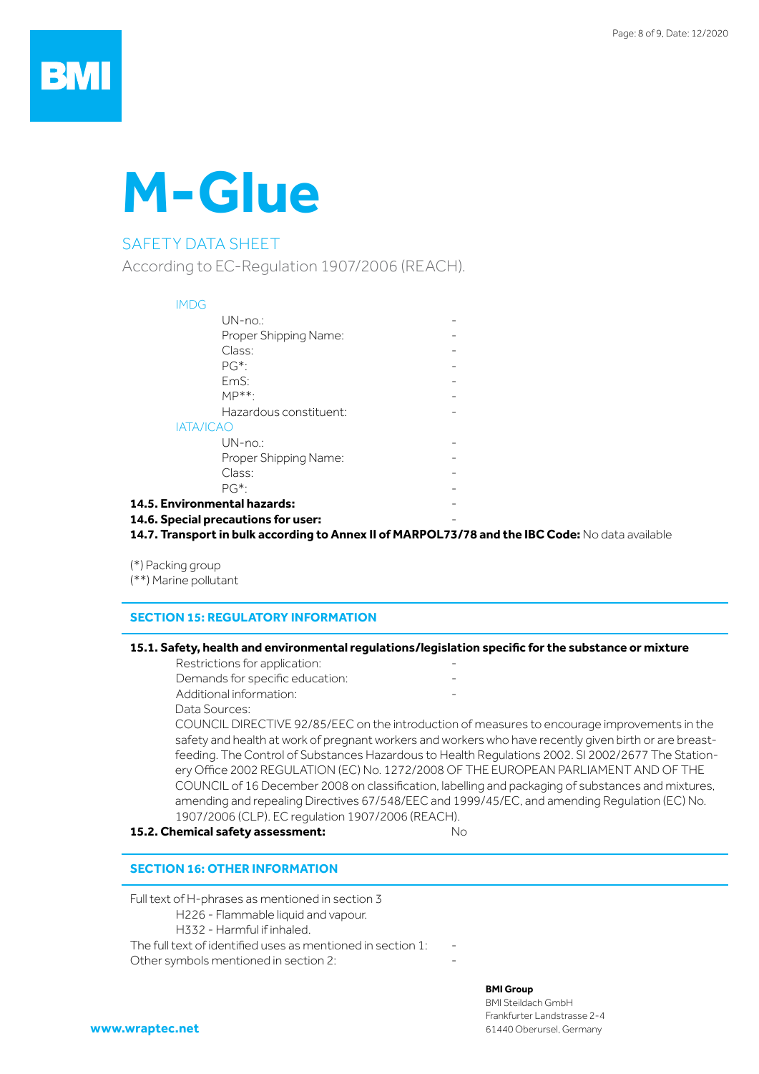# **M-Glue**

### SAFETY DATA SHEET

According to EC-Regulation 1907/2006 (REACH).

#### IMDG  $UN-no.$ Proper Shipping Name: Class: The Class of the Class of the Class of the Class of the Class of the Class of the Class of the Class of the Class of the Class of the Class of the Class of the Class of the Class of the Class of the Class of the Cla  $PG^*$ : EmS: The contract of the contract of the contract of the contract of the contract of the contract of the contract of the contract of the contract of the contract of the contract of the contract of the contract of the contr  $MP***$ : Hazardous constituent: IATA/ICAO  $UN-no.$ Proper Shipping Name: Class: The Class of the Class of the Class of the Class of the Class of the Class of the Class of the Class of the Class of the Class of the Class of the Class of the Class of the Class of the Class of the Class of the Cla  $PG^*$ : **14.5. Environmental hazards:** - **14.6. Special precautions for user:** -

14.7. Transport in bulk according to Annex II of MARPOL73/78 and the IBC Code: No data available

(\*) Packing group (\*\*) Marine pollutant

#### **SECTION 15: REGULATORY INFORMATION**

#### **15.1. Safety, health and environmental regulations/legislation specific for the substance or mixture**

Restrictions for application: Demands for specific education: Additional information:

Data Sources:

COUNCIL DIRECTIVE 92/85/EEC on the introduction of measures to encourage improvements in the safety and health at work of pregnant workers and workers who have recently given birth or are breastfeeding. The Control of Substances Hazardous to Health Regulations 2002. SI 2002/2677 The Stationery Office 2002 REGULATION (EC) No. 1272/2008 OF THE EUROPEAN PARLIAMENT AND OF THE COUNCIL of 16 December 2008 on classification, labelling and packaging of substances and mixtures, amending and repealing Directives 67/548/EEC and 1999/45/EC, and amending Regulation (EC) No. 1907/2006 (CLP). EC regulation 1907/2006 (REACH).

**15.2. Chemical safety assessment:** No

#### **SECTION 16: OTHER INFORMATION**

Full text of H-phrases as mentioned in section 3

- H226 Flammable liquid and vapour.
- H332 Harmful if inhaled.

The full text of identified uses as mentioned in section  $1$ :

Other symbols mentioned in section 2:

#### **BMI Group**